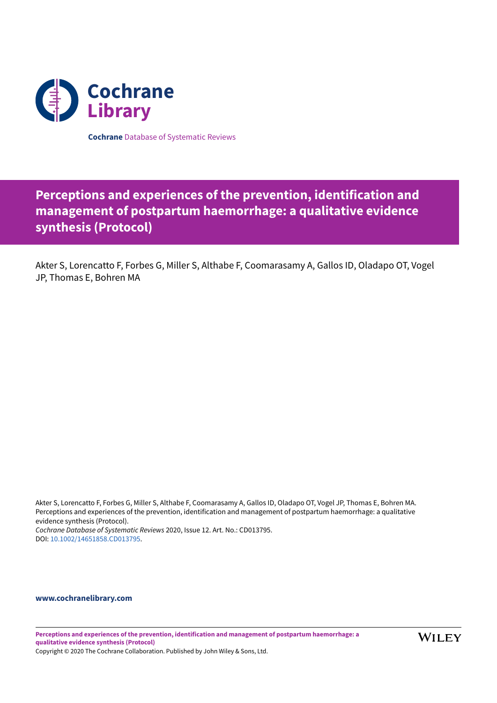

**Cochrane** Database of Systematic Reviews

# **Perceptions and experiences of the prevention, identification and management of postpartum haemorrhage: a qualitative evidence synthesis (Protocol)**

Akter S, Lorencatto F, Forbes G, Miller S, Althabe F, Coomarasamy A, Gallos ID, Oladapo OT, Vogel JP, Thomas E, Bohren MA

Akter S, Lorencatto F, Forbes G, Miller S, Althabe F, Coomarasamy A, Gallos ID, Oladapo OT, Vogel JP, Thomas E, Bohren MA. Perceptions and experiences of the prevention, identification and management of postpartum haemorrhage: a qualitative evidence synthesis (Protocol).

*Cochrane Database of Systematic Reviews* 2020, Issue 12. Art. No.: CD013795. DOI: [10.1002/14651858.CD013795](https://doi.org/10.1002%2F14651858.CD013795).

# **[www.cochranelibrary.com](https://www.cochranelibrary.com)**

**Perceptions and experiences of the prevention, identification and management of postpartum haemorrhage: a qualitative evidence synthesis (Protocol)** Copyright © 2020 The Cochrane Collaboration. Published by John Wiley & Sons, Ltd.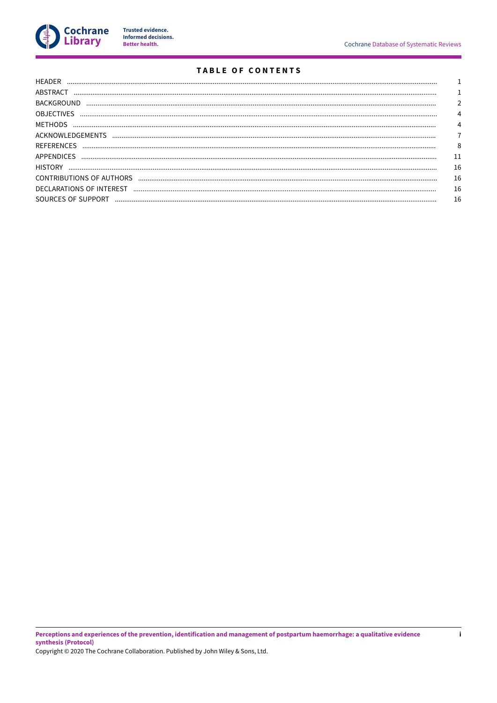

Trusted evidence.<br>Informed decisions.<br>Better health.

# **TABLE OF CONTENTS**

| HFADFR                   |    |
|--------------------------|----|
| ABSTRACT                 |    |
| <b>BACKGROUND</b>        |    |
| <b>OBJECTIVES</b>        |    |
| MFTHODS                  |    |
|                          |    |
|                          | 8  |
| APPENDICES               |    |
| <b>HISTORY</b>           | 16 |
|                          | 16 |
| DECLARATIONS OF INTEREST | 16 |
| SOURCES OF SUPPORT       | 16 |
|                          |    |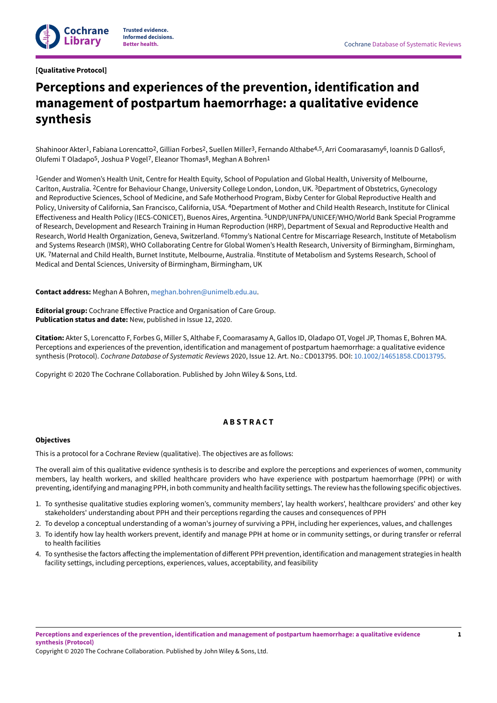# <span id="page-2-0"></span>**[Qualitative Protocol]**

# **Perceptions and experiences of the prevention, identification and management of postpartum haemorrhage: a qualitative evidence synthesis**

Shahinoor Akter<sup>1</sup>, Fabiana Lorencatto<sup>2</sup>, Gillian Forbes<sup>2</sup>, Suellen Miller<sup>3</sup>, Fernando Althabe<sup>4,5</sup>, Arri Coomarasamy<sup>6</sup>, Ioannis D Gallos<sup>6</sup>, Olufemi T Oladapo<sup>5</sup>, Joshua P Vogel<sup>7</sup>, Eleanor Thomas<sup>8</sup>, Meghan A Bohren<sup>1</sup>

1Gender and Women's Health Unit, Centre for Health Equity, School of Population and Global Health, University of Melbourne, Carlton, Australia. 2Centre for Behaviour Change, University College London, London, UK. 3Department of Obstetrics, Gynecology and Reproductive Sciences, School of Medicine, and Safe Motherhood Program, Bixby Center for Global Reproductive Health and Policy, University of California, San Francisco, California, USA. <sup>4</sup>Department of Mother and Child Health Research, Institute for Clinical EFectiveness and Health Policy (IECS-CONICET), Buenos Aires, Argentina. 5UNDP/UNFPA/UNICEF/WHO/World Bank Special Programme of Research, Development and Research Training in Human Reproduction (HRP), Department of Sexual and Reproductive Health and Research, World Health Organization, Geneva, Switzerland. <sup>6</sup>Tommy's National Centre for Miscarriage Research, Institute of Metabolism and Systems Research (IMSR), WHO Collaborating Centre for Global Women's Health Research, University of Birmingham, Birmingham, UK. <sup>7</sup>Maternal and Child Health, Burnet Institute, Melbourne, Australia. <sup>8</sup>Institute of Metabolism and Systems Research, School of Medical and Dental Sciences, University of Birmingham, Birmingham, UK

**Contact address:** Meghan A Bohren, [meghan.bohren@unimelb.edu.au.](mailto:meghan.bohren@unimelb.edu.au)

**Editorial group:** Cochrane EFective Practice and Organisation of Care Group. **Publication status and date:** New, published in Issue 12, 2020.

**Citation:** Akter S, Lorencatto F, Forbes G, Miller S, Althabe F, Coomarasamy A, Gallos ID, Oladapo OT, Vogel JP, Thomas E, Bohren MA. Perceptions and experiences of the prevention, identification and management of postpartum haemorrhage: a qualitative evidence synthesis (Protocol). *Cochrane Database of Systematic Reviews* 2020, Issue 12. Art. No.: CD013795. DOI: [10.1002/14651858.CD013795](https://doi.org/10.1002%2F14651858.CD013795).

Copyright © 2020 The Cochrane Collaboration. Published by John Wiley & Sons, Ltd.

# **A B S T R A C T**

# <span id="page-2-1"></span>**Objectives**

This is a protocol for a Cochrane Review (qualitative). The objectives are as follows:

The overall aim of this qualitative evidence synthesis is to describe and explore the perceptions and experiences of women, community members, lay health workers, and skilled healthcare providers who have experience with postpartum haemorrhage (PPH) or with preventing, identifying and managing PPH, in both community and health facility settings. The review has the following specific objectives.

- 1. To synthesise qualitative studies exploring women's, community members', lay health workers', healthcare providers' and other key stakeholders' understanding about PPH and their perceptions regarding the causes and consequences of PPH
- 2. To develop a conceptual understanding of a woman's journey of surviving a PPH, including her experiences, values, and challenges
- 3. To identify how lay health workers prevent, identify and manage PPH at home or in community settings, or during transfer or referral to health facilities
- 4. To synthesise the factors aFecting the implementation of diFerent PPH prevention, identification and management strategies in health facility settings, including perceptions, experiences, values, acceptability, and feasibility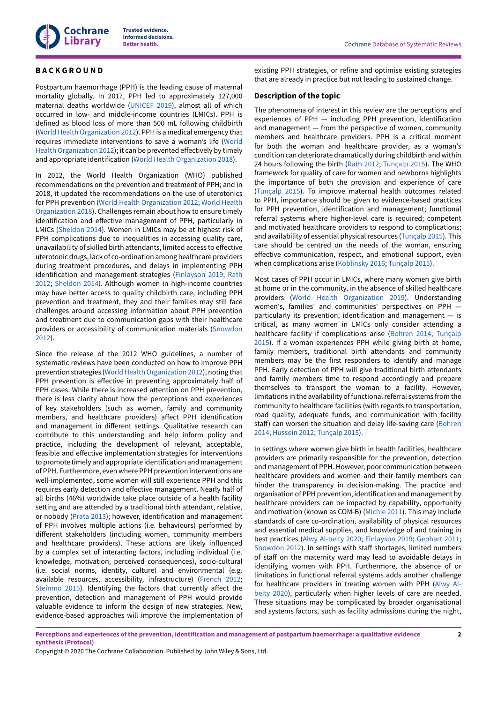

# <span id="page-3-0"></span>**B A C K G R O U N D**

Postpartum haemorrhage (PPH) is the leading cause of maternal mortality globally. In 2017, PPH led to approximately 127,000 maternal deaths worldwide ([UNICEF 2019\)](#page-12-1), almost all of which occurred in low- and middle-income countries (LMICs). PPH is defined as blood loss of more than 500 mL following childbirth (World Health Organization 2012). PPH is a medical emergency that requires immediate interventions to save a woman's life [\(World](#page-12-2) Health [Organization](#page-12-2) 2012); it can be prevented effectively by timely and appropriate identification (World Health [Organization](#page-12-3) 2018).

In 2012, the World Health Organization (WHO) published recommendations on the prevention and treatment of PPH; and in 2018, it updated the recommendations on the use of uterotonics for PPH prevention (World Health [Organization](#page-12-2) 2012; World [Health](#page-12-3) [Organization](#page-12-3) 2018). Challenges remain about how to ensure timely identification and effective management of PPH, particularly in LMICs [\(Sheldon 2014\)](#page-11-0). Women in LMICs may be at highest risk of PPH complications due to inequalities in accessing quality care, unavailability of skilled birth attendants, limited access to eFective uterotonic drugs, lack of co-ordination among healthcare providers during treatment procedures, and delays in implementing PPH identification and management strategies ([Finlayson 2019](#page-9-1); [Rath](#page-11-1) [2012](#page-11-1); [Sheldon 2014](#page-11-0)). Although women in high-income countries may have better access to quality childbirth care, including PPH prevention and treatment, they and their families may still face challenges around accessing information about PPH prevention and treatment due to communication gaps with their healthcare providers or accessibility of communication materials ([Snowdon](#page-11-2) [2012](#page-11-2)).

Since the release of the 2012 WHO guidelines, a number of systematic reviews have been conducted on how to improve PPH prevention strategies (World Health Organization 2012), noting that PPH prevention is effective in preventing approximately half of PPH cases. While there is increased attention on PPH prevention, there is less clarity about how the perceptions and experiences of key stakeholders (such as women, family and community members, and healthcare providers) aFect PPH identification and management in different settings. Qualitative research can contribute to this understanding and help inform policy and practice, including the development of relevant, acceptable, feasible and effective implementation strategies for interventions to promote timely and appropriate identification and management of PPH. Furthermore, even where PPH prevention interventions are well-implemented, some women will still experience PPH and this requires early detection and eFective management. Nearly half of all births (46%) worldwide take place outside of a health facility setting and are attended by a traditional birth attendant, relative, or nobody ([Prata](#page-11-3) 2013); however, identification and management of PPH involves multiple actions (i.e. behaviours) performed by diFerent stakeholders (including women, community members and healthcare providers). These actions are likely influenced by a complex set of interacting factors, including individual (i.e. knowledge, motivation, perceived consequences), socio-cultural (i.e. social norms, identity, culture) and environmental (e.g. available resources, accessibility, infrastructure) ([French](#page-9-2) 2012; [Steinmo](#page-11-4) 2015). Identifying the factors that currently aFect the prevention, detection and management of PPH would provide valuable evidence to inform the design of new strategies. New, evidence-based approaches will improve the implementation of

existing PPH strategies, or refine and optimise existing strategies that are already in practice but not leading to sustained change.

#### **Description of the topic**

The phenomena of interest in this review are the perceptions and experiences of PPH — including PPH prevention, identification and management — from the perspective of women, community members and healthcare providers. PPH is a critical moment for both the woman and healthcare provider, as a woman's condition can deteriorate dramatically during childbirth and within 24 hours following the birth [\(Rath](#page-11-1) 2012; [Tunçalp](#page-12-4) 2015). The WHO framework for quality of care for women and newborns highlights the importance of both the provision and experience of care [\(Tunçalp](#page-12-4) 2015). To improve maternal health outcomes related to PPH, importance should be given to evidence-based practices for PPH prevention, identification and management; functional referral systems where higher-level care is required; competent and motivated healthcare providers to respond to complications; and availability of essential physical resources ([Tunçalp](#page-12-4) 2015). This care should be centred on the needs of the woman, ensuring eFective communication, respect, and emotional support, even when complications arise ([Koblinsky](#page-10-0) 2016; [Tunçalp](#page-12-4) 2015).

Most cases of PPH occur in LMICs, where many women give birth at home or in the community, in the absence of skilled healthcare providers (World Health [Organization](#page-12-5) 2019). Understanding women's, families' and communities' perspectives on PPH particularly its prevention, identification and management — is critical, as many women in LMICs only consider attending a healthcare facility if complications arise ([Bohren](#page-9-3) 2014; [Tunçalp](#page-12-4) [2015\)](#page-12-4). If a woman experiences PPH while giving birth at home, family members, traditional birth attendants and community members may be the first responders to identify and manage PPH. Early detection of PPH will give traditional birth attendants and family members time to respond accordingly and prepare themselves to transport the woman to a facility. However, limitations in the availability of functional referral systems from the community to healthcare facilities (with regards to transportation, road quality, adequate funds, and communication with facility staff) can worsen the situation and delay life-saving care [\(Bohren](#page-9-3) [2014;](#page-9-3) [Hussein 2012](#page-10-1); [Tunçalp](#page-12-4) 2015).

In settings where women give birth in health facilities, healthcare providers are primarily responsible for the prevention, detection and management of PPH. However, poor communication between healthcare providers and women and their family members can hinder the transparency in decision-making. The practice and organisation of PPH prevention, identification and management by healthcare providers can be impacted by capability, opportunity and motivation (known as COM-B) ([Michie 2011](#page-10-2)). This may include standards of care co-ordination, availability of physical resources and essential medical supplies, and knowledge of and training in best practices ([Alwy Al-beity 2020;](#page-9-4) [Finlayson 2019](#page-9-1); [Gephart 2011;](#page-9-5) [Snowdon](#page-11-2) 2012). In settings with staff shortages, limited numbers of staff on the maternity ward may lead to avoidable delays in identifying women with PPH. Furthermore, the absence of or limitations in functional referral systems adds another challenge for healthcare providers in treating women with PPH [\(Alwy Al](#page-9-4)[beity 2020\)](#page-9-4), particularly when higher levels of care are needed. These situations may be complicated by broader organisational and systems factors, such as facility admissions during the night,

Perceptions and experiences of the prevention, identification and management of postpartum haemorrhage: a qualitative evidence **synthesis (Protocol)**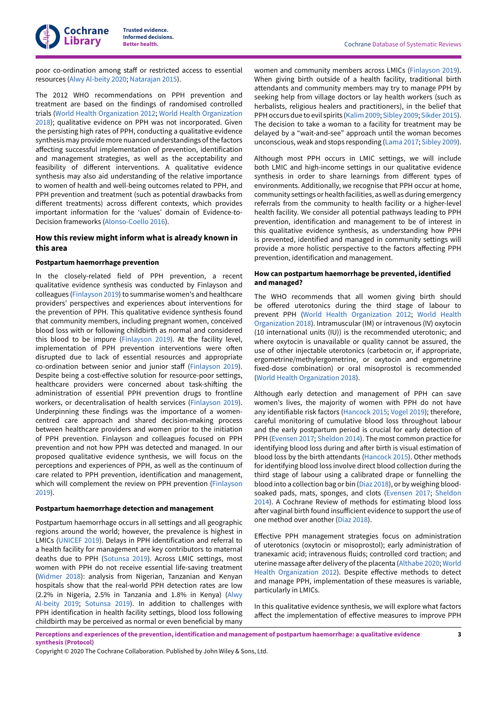**Better health.** Cochrane Database of Systematic Reviews

poor co-ordination among staff or restricted access to essential resources [\(Alwy Al-beity 2020;](#page-9-4) [Natarajan](#page-10-3) 2015).

The 2012 WHO recommendations on PPH prevention and treatment are based on the findings of randomised controlled trials (World Health [Organization](#page-12-2) 2012; World Health [Organization](#page-12-3) [2018](#page-12-3)); qualitative evidence on PPH was not incorporated. Given the persisting high rates of PPH, conducting a qualitative evidence synthesis may provide more nuanced understandings of the factors aFecting successful implementation of prevention, identification and management strategies, as well as the acceptability and feasibility of diFerent interventions. A qualitative evidence synthesis may also aid understanding of the relative importance to women of health and well-being outcomes related to PPH, and PPH prevention and treatment (such as potential drawbacks from different treatments) across different contexts, which provides important information for the 'values' domain of Evidence-to-Decision frameworks ([Alonso-Coello](#page-9-6) 2016).

# **How this review might inform what is already known in this area**

#### **Postpartum haemorrhage prevention**

In the closely-related field of PPH prevention, a recent qualitative evidence synthesis was conducted by Finlayson and colleagues ([Finlayson 2019](#page-9-1)) to summarise women's and healthcare providers' perspectives and experiences about interventions for the prevention of PPH. This qualitative evidence synthesis found that community members, including pregnant women, conceived blood loss with or following childbirth as normal and considered this blood to be impure ([Finlayson 2019](#page-9-1)). At the facility level, implementation of PPH prevention interventions were often disrupted due to lack of essential resources and appropriate co-ordination between senior and junior staff ([Finlayson 2019\)](#page-9-1). Despite being a cost-eFective solution for resource-poor settings, healthcare providers were concerned about task-shifting the administration of essential PPH prevention drugs to frontline workers, or decentralisation of health services [\(Finlayson 2019\)](#page-9-1). Underpinning these findings was the importance of a womencentred care approach and shared decision-making process between healthcare providers and women prior to the initiation of PPH prevention. Finlayson and colleagues focused on PPH prevention and not how PPH was detected and managed. In our proposed qualitative evidence synthesis, we will focus on the perceptions and experiences of PPH, as well as the continuum of care related to PPH prevention, identification and management, which will complement the review on PPH prevention [\(Finlayson](#page-9-1) [2019](#page-9-1)).

#### **Postpartum haemorrhage detection and management**

Postpartum haemorrhage occurs in all settings and all geographic regions around the world; however, the prevalence is highest in LMICs [\(UNICEF 2019\)](#page-12-1). Delays in PPH identification and referral to a health facility for management are key contributors to maternal deaths due to PPH [\(Sotunsa](#page-11-5) 2019). Across LMIC settings, most women with PPH do not receive essential life-saving treatment [\(Widmer 2018\)](#page-12-6): analysis from Nigerian, Tanzanian and Kenyan hospitals show that the real-world PPH detection rates are low (2.2% in Nigeria, 2.5% in Tanzania and 1.8% in Kenya) ([Alwy](#page-9-7) [Al-beity 2019;](#page-9-7) [Sotunsa](#page-11-5) 2019). In addition to challenges with PPH identification in health facility settings, blood loss following childbirth may be perceived as normal or even beneficial by many

women and community members across LMICs [\(Finlayson 2019\)](#page-9-1). When giving birth outside of a health facility, traditional birth attendants and community members may try to manage PPH by seeking help from village doctors or lay health workers (such as herbalists, religious healers and practitioners), in the belief that PPH occurs due to evil spirits [\(Kalim 2009](#page-10-4); [Sibley](#page-11-6) 2009; [Sikder](#page-11-7) 2015). The decision to take a woman to a facility for treatment may be delayed by a "wait-and-see" approach until the woman becomes unconscious, weak and stops responding [\(Lama 2017;](#page-10-5) [Sibley](#page-11-6) 2009).

Although most PPH occurs in LMIC settings, we will include both LMIC and high-income settings in our qualitative evidence synthesis in order to share learnings from different types of environments. Additionally, we recognise that PPH occur at home, community settings or health facilities, as well as during emergency referrals from the community to health facility or a higher-level health facility. We consider all potential pathways leading to PPH prevention, identification and management to be of interest in this qualitative evidence synthesis, as understanding how PPH is prevented, identified and managed in community settings will provide a more holistic perspective to the factors affecting PPH prevention, identification and management.

## **How can postpartum haemorrhage be prevented, identified and managed?**

The WHO recommends that all women giving birth should be offered uterotonics during the third stage of labour to prevent PPH (World Health [Organization](#page-12-2) 2012; World [Health](#page-12-3) [Organization](#page-12-3) 2018). Intramuscular (IM) or intravenous (IV) oxytocin (10 international units (IU)) is the recommended uterotonic; and where oxytocin is unavailable or quality cannot be assured, the use of other injectable uterotonics (carbetocin or, if appropriate, ergometrine/methylergometrine, or oxytocin and ergometrine fixed-dose combination) or oral misoprostol is recommended (World Health [Organization](#page-12-3) 2018).

Although early detection and management of PPH can save women's lives, the majority of women with PPH do not have any identifiable risk factors [\(Hancock](#page-10-6) 2015; [Vogel](#page-12-7) 2019); therefore, careful monitoring of cumulative blood loss throughout labour and the early postpartum period is crucial for early detection of PPH [\(Evensen](#page-9-8) 2017; [Sheldon 2014](#page-11-0)). The most common practice for identifying blood loss during and after birth is visual estimation of blood loss by the birth attendants [\(Hancock](#page-10-6) 2015). Other methods for identifying blood loss involve direct blood collection during the third stage of labour using a calibrated drape or funnelling the blood into a collection bag or bin [\(Diaz 2018\)](#page-9-9), or by weighing bloodsoaked pads, mats, sponges, and clots ([Evensen](#page-9-8) 2017; [Sheldon](#page-11-0) [2014\)](#page-11-0). A Cochrane Review of methods for estimating blood loss after vaginal birth found insufficient evidence to support the use of one method over another ([Diaz 2018\)](#page-9-9).

EFective PPH management strategies focus on administration of uterotonics (oxytocin or misoprostol); early administration of tranexamic acid; intravenous fluids; controlled cord traction; and uterine massage after delivery of the placenta [\(Althabe 2020;](#page-9-10) [World](#page-12-2) Health [Organization](#page-12-2) 2012). Despite effective methods to detect and manage PPH, implementation of these measures is variable, particularly in LMICs.

In this qualitative evidence synthesis, we will explore what factors affect the implementation of effective measures to improve PPH

Perceptions and experiences of the prevention, identification and management of postpartum haemorrhage: a qualitative evidence **synthesis (Protocol)**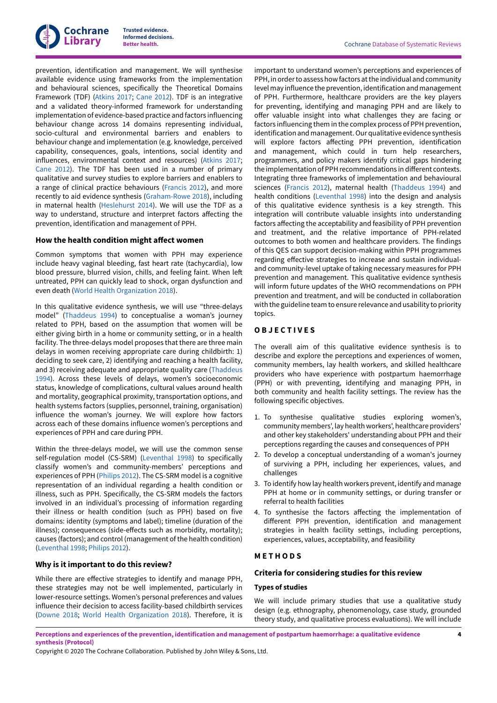

prevention, identification and management. We will synthesise available evidence using frameworks from the implementation and behavioural sciences, specifically the Theoretical Domains Framework (TDF) [\(Atkins](#page-9-11) 2017; [Cane 2012](#page-9-12)). TDF is an integrative and a validated theory-informed framework for understanding implementation of evidence-based practice and factors influencing behaviour change across 14 domains representing individual, socio-cultural and environmental barriers and enablers to behaviour change and implementation (e.g. knowledge, perceived capability, consequences, goals, intentions, social identity and influences, environmental context and resources) [\(Atkins](#page-9-11) 2017; [Cane 2012\)](#page-9-12). The TDF has been used in a number of primary qualitative and survey studies to explore barriers and enablers to a range of clinical practice behaviours ([Francis](#page-9-13) 2012), and more recently to aid evidence synthesis ([Graham-Rowe](#page-10-7) 2018), including in maternal health [\(Heslehurst](#page-10-8) 2014). We will use the TDF as a way to understand, structure and interpret factors affecting the prevention, identification and management of PPH.

# **How the health condition might affect women**

Common symptoms that women with PPH may experience include heavy vaginal bleeding, fast heart rate (tachycardia), low blood pressure, blurred vision, chills, and feeling faint. When left untreated, PPH can quickly lead to shock, organ dysfunction and even death (World Health [Organization](#page-12-3) 2018).

In this qualitative evidence synthesis, we will use "three-delays model" ([Thaddeus 1994\)](#page-11-8) to conceptualise a woman's journey related to PPH, based on the assumption that women will be either giving birth in a home or community setting, or in a health facility. The three-delays model proposes that there are three main delays in women receiving appropriate care during childbirth: 1) deciding to seek care, 2) identifying and reaching a health facility, and 3) receiving adequate and appropriate quality care [\(Thaddeus](#page-11-8) [1994](#page-11-8)). Across these levels of delays, women's socioeconomic status, knowledge of complications, cultural values around health and mortality, geographical proximity, transportation options, and health systems factors (supplies, personnel, training, organisation) influence the woman's journey. We will explore how factors across each of these domains influence women's perceptions and experiences of PPH and care during PPH.

Within the three-delays model, we will use the common sense self-regulation model (CS-SRM) ([Leventhal](#page-10-9) 1998) to specifically classify women's and community-members' perceptions and experiences of PPH [\(Philips 2012](#page-11-9)). The CS-SRM model is a cognitive representation of an individual regarding a health condition or illness, such as PPH. Specifically, the CS-SRM models the factors involved in an individual's processing of information regarding their illness or health condition (such as PPH) based on five domains: identity (symptoms and label); timeline (duration of the illness); consequences (side-effects such as morbidity, mortality); causes (factors); and control (management of the health condition) [\(Leventhal](#page-10-9) 1998; [Philips 2012](#page-11-9)).

# **Why is it important to do this review?**

While there are effective strategies to identify and manage PPH, these strategies may not be well implemented, particularly in lower-resource settings. Women's personal preferences and values influence their decision to access facility-based childbirth services [\(Downe](#page-9-14) 2018; World Health [Organization](#page-12-3) 2018). Therefore, it is

important to understand women's perceptions and experiences of PPH, in order to assess how factors at the individual and community level may influence the prevention, identification and management of PPH. Furthermore, healthcare providers are the key players for preventing, identifying and managing PPH and are likely to oFer valuable insight into what challenges they are facing or factors influencing them in the complex process of PPH prevention, identification and management.Our qualitative evidence synthesis will explore factors affecting PPH prevention, identification and management, which could in turn help researchers, programmers, and policy makers identify critical gaps hindering the implementation of PPH recommendations in different contexts. Integrating three frameworks of implementation and behavioural sciences [\(Francis](#page-9-13) 2012), maternal health ([Thaddeus 1994](#page-11-8)) and health conditions ([Leventhal](#page-10-9) 1998) into the design and analysis of this qualitative evidence synthesis is a key strength. This integration will contribute valuable insights into understanding factors aFecting the acceptability and feasibility of PPH prevention and treatment, and the relative importance of PPH-related outcomes to both women and healthcare providers. The findings of this QES can support decision-making within PPH programmes regarding effective strategies to increase and sustain individualand community-level uptake of taking necessary measures for PPH prevention and management. This qualitative evidence synthesis will inform future updates of the WHO recommendations on PPH prevention and treatment, and will be conducted in collaboration with the guideline team to ensure relevance and usability to priority topics.

# <span id="page-5-0"></span>**O B J E C T I V E S**

The overall aim of this qualitative evidence synthesis is to describe and explore the perceptions and experiences of women, community members, lay health workers, and skilled healthcare providers who have experience with postpartum haemorrhage (PPH) or with preventing, identifying and managing PPH, in both community and health facility settings. The review has the following specific objectives.

- 1. To synthesise qualitative studies exploring women's, community members', lay health workers', healthcare providers' and other key stakeholders' understanding about PPH and their perceptions regarding the causes and consequences of PPH
- 2. To develop a conceptual understanding of a woman's journey of surviving a PPH, including her experiences, values, and challenges
- 3. To identify how lay health workers prevent, identify and manage PPH at home or in community settings, or during transfer or referral to health facilities
- 4. To synthesise the factors aFecting the implementation of diFerent PPH prevention, identification and management strategies in health facility settings, including perceptions, experiences, values, acceptability, and feasibility

# <span id="page-5-1"></span>**M E T H O D S**

# **Criteria for considering studies for this review**

# **Types of studies**

We will include primary studies that use a qualitative study design (e.g. ethnography, phenomenology, case study, grounded theory study, and qualitative process evaluations). We will include

Perceptions and experiences of the prevention, identification and management of postpartum haemorrhage: a qualitative evidence **synthesis (Protocol)**

Copyright © 2020 The Cochrane Collaboration. Published by John Wiley & Sons, Ltd.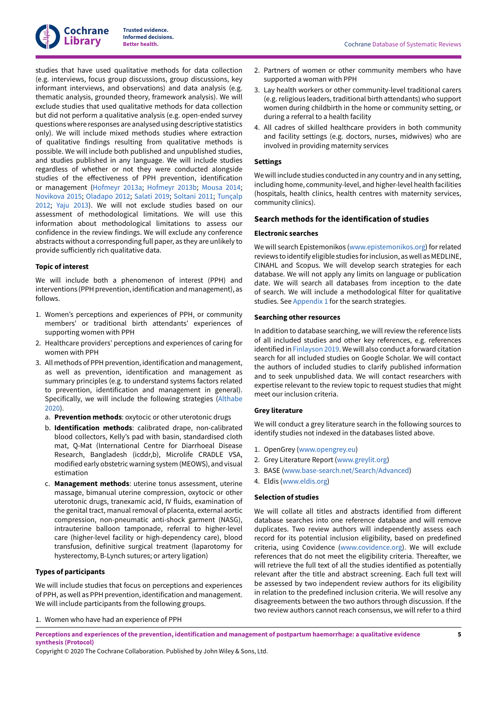

studies that have used qualitative methods for data collection (e.g. interviews, focus group discussions, group discussions, key informant interviews, and observations) and data analysis (e.g. thematic analysis, grounded theory, framework analysis). We will exclude studies that used qualitative methods for data collection but did not perform a qualitative analysis (e.g. open-ended survey questions where responses are analysed using descriptive statistics only). We will include mixed methods studies where extraction of qualitative findings resulting from qualitative methods is possible. We will include both published and unpublished studies, and studies published in any language. We will include studies regardless of whether or not they were conducted alongside studies of the effectiveness of PPH prevention, identification or management [\(Hofmeyr](#page-10-10) 2013a; [Hofmeyr](#page-10-11) 2013b; [Mousa 2014](#page-10-12); [Novikova](#page-11-10) 2015; [Oladapo 2012;](#page-11-11) [Salati 2019](#page-11-12); [Soltani](#page-11-13) 2011; [Tunçalp](#page-11-14) [2012](#page-11-14); Yaju [2013](#page-12-8)). We will not exclude studies based on our assessment of methodological limitations. We will use this information about methodological limitations to assess our confidence in the review findings. We will exclude any conference abstracts without a corresponding full paper, as they are unlikely to provide sufficiently rich qualitative data.

#### **Topic of interest**

We will include both a phenomenon of interest (PPH) and interventions (PPH prevention, identification and management), as follows.

- 1. Women's perceptions and experiences of PPH, or community members' or traditional birth attendants' experiences of supporting women with PPH
- 2. Healthcare providers' perceptions and experiences of caring for women with PPH
- 3. All methods of PPH prevention, identification and management, as well as prevention, identification and management as summary principles (e.g. to understand systems factors related to prevention, identification and management in general). Specifically, we will include the following strategies [\(Althabe](#page-9-10) [2020\)](#page-9-10).
	- a. **Prevention methods**: oxytocic or other uterotonic drugs
	- b. **Identification methods**: calibrated drape, non-calibrated blood collectors, Kelly's pad with basin, standardised cloth mat, Q-Mat (International Centre for Diarrhoeal Disease Research, Bangladesh (icddr,b), Microlife CRADLE VSA, modified early obstetric warning system (MEOWS), and visual estimation
	- c. **Management methods**: uterine tonus assessment, uterine massage, bimanual uterine compression, oxytocic or other uterotonic drugs, tranexamic acid, IV fluids, examination of the genital tract, manual removal of placenta, external aortic compression, non-pneumatic anti-shock garment (NASG), intrauterine balloon tamponade, referral to higher-level care (higher-level facility or high-dependency care), blood transfusion, definitive surgical treatment (laparotomy for hysterectomy, B-Lynch sutures; or artery ligation)

# **Types of participants**

We will include studies that focus on perceptions and experiences of PPH, as well as PPH prevention, identification and management. We will include participants from the following groups.

1. Women who have had an experience of PPH

- 2. Partners of women or other community members who have supported a woman with PPH
- 3. Lay health workers or other community-level traditional carers (e.g. religious leaders, traditional birth attendants) who support women during childbirth in the home or community setting, or during a referral to a health facility
- 4. All cadres of skilled healthcare providers in both community and facility settings (e.g. doctors, nurses, midwives) who are involved in providing maternity services

#### **Settings**

We will include studies conducted in any country and in any setting, including home, community-level, and higher-level health facilities (hospitals, health clinics, health centres with maternity services, community clinics).

# **Search methods for the identification of studies**

#### **Electronic searches**

We will search Epistemonikos ([www.epistemonikos.org\)](https://www.epistemonikos.org/) for related reviews to identify eligible studies for inclusion, as well as MEDLINE, CINAHL and Scopus. We will develop search strategies for each database. We will not apply any limits on language or publication date. We will search all databases from inception to the date of search. We will include a methodological filter for qualitative studies. See [Appendix 1](#page-12-9) for the search strategies.

#### **Searching other resources**

In addition to database searching, we will review the reference lists of all included studies and other key references, e.g. references identified in [Finlayson 2019](#page-9-1). We will also conduct a forward citation search for all included studies on Google Scholar. We will contact the authors of included studies to clarify published information and to seek unpublished data. We will contact researchers with expertise relevant to the review topic to request studies that might meet our inclusion criteria.

# **Grey literature**

We will conduct a grey literature search in the following sources to identify studies not indexed in the databases listed above.

- 1. OpenGrey [\(www.opengrey.eu](http://www.opengrey.eu/))
- 2. Grey Literature Report ([www.greylit.org\)](http://www.greylit.org/)
- 3. BASE [\(www.base-search.net/Search/Advanced](https://www.base-search.net/Search/Advanced))
- 4. Eldis ([www.eldis.org](https://www.eldis.org/))

# **Selection of studies**

We will collate all titles and abstracts identified from different database searches into one reference database and will remove duplicates. Two review authors will independently assess each record for its potential inclusion eligibility, based on predefined criteria, using Covidence [\(www.covidence.org\)](http://www.covidence.org). We will exclude references that do not meet the eligibility criteria. Thereafter, we will retrieve the full text of all the studies identified as potentially relevant after the title and abstract screening. Each full text will be assessed by two independent review authors for its eligibility in relation to the predefined inclusion criteria. We will resolve any disagreements between the two authors through discussion. If the two review authors cannot reach consensus, we will refer to a third

Perceptions and experiences of the prevention, identification and management of postpartum haemorrhage: a qualitative evidence **synthesis (Protocol)**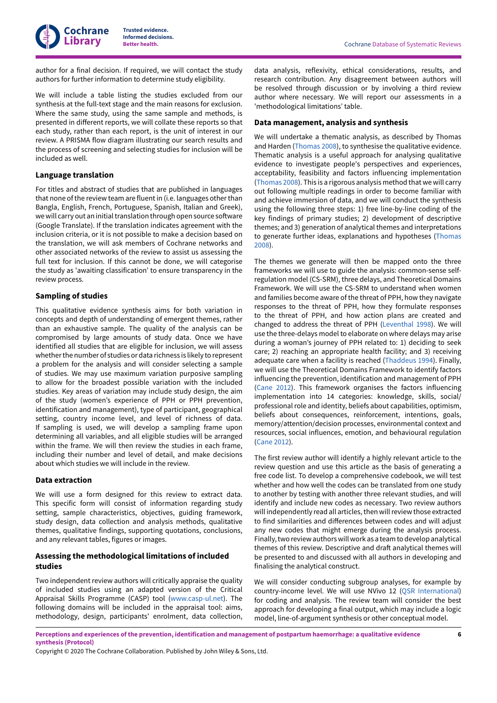author for a final decision. If required, we will contact the study authors for further information to determine study eligibility.

We will include a table listing the studies excluded from our synthesis at the full-text stage and the main reasons for exclusion. Where the same study, using the same sample and methods, is presented in diFerent reports, we will collate these reports so that each study, rather than each report, is the unit of interest in our review. A PRISMA flow diagram illustrating our search results and the process of screening and selecting studies for inclusion will be included as well.

#### **Language translation**

For titles and abstract of studies that are published in languages that none of the review team are fluent in (i.e. languages other than Bangla, English, French, Portuguese, Spanish, Italian and Greek), we will carry out an initial translation through open source software (Google Translate). If the translation indicates agreement with the inclusion criteria, or it is not possible to make a decision based on the translation, we will ask members of Cochrane networks and other associated networks of the review to assist us assessing the full text for inclusion. If this cannot be done, we will categorise the study as 'awaiting classification' to ensure transparency in the review process.

# **Sampling of studies**

This qualitative evidence synthesis aims for both variation in concepts and depth of understanding of emergent themes, rather than an exhaustive sample. The quality of the analysis can be compromised by large amounts of study data. Once we have identified all studies that are eligible for inclusion, we will assess whether the number of studies or data richness is likely to represent a problem for the analysis and will consider selecting a sample of studies. We may use maximum variation purposive sampling to allow for the broadest possible variation with the included studies. Key areas of variation may include study design, the aim of the study (women's experience of PPH or PPH prevention, identification and management), type of participant, geographical setting, country income level, and level of richness of data. If sampling is used, we will develop a sampling frame upon determining all variables, and all eligible studies will be arranged within the frame. We will then review the studies in each frame, including their number and level of detail, and make decisions about which studies we will include in the review.

## **Data extraction**

We will use a form designed for this review to extract data. This specific form will consist of information regarding study setting, sample characteristics, objectives, guiding framework, study design, data collection and analysis methods, qualitative themes, qualitative findings, supporting quotations, conclusions, and any relevant tables, figures or images.

# **Assessing the methodological limitations of included studies**

Two independent review authors will critically appraise the quality of included studies using an adapted version of the Critical Appraisal Skills Programme (CASP) tool [\(www.casp-ul.net\)](http://www.casp-ul.net). The following domains will be included in the appraisal tool: aims, methodology, design, participants' enrolment, data collection,

data analysis, reflexivity, ethical considerations, results, and research contribution. Any disagreement between authors will be resolved through discussion or by involving a third review author where necessary. We will report our assessments in a 'methodological limitations' table.

# **Data management, analysis and synthesis**

We will undertake a thematic analysis, as described by Thomas and Harden [\(Thomas 2008](#page-11-15)), to synthesise the qualitative evidence. Thematic analysis is a useful approach for analysing qualitative evidence to investigate people's perspectives and experiences, acceptability, feasibility and factors influencing implementation [\(Thomas 2008](#page-11-15)). This is a rigorous analysis method that we will carry out following multiple readings in order to become familiar with and achieve immersion of data, and we will conduct the synthesis using the following three steps: 1) free line-by-line coding of the key findings of primary studies; 2) development of descriptive themes; and 3) generation of analytical themes and interpretations to generate further ideas, explanations and hypotheses [\(Thomas](#page-11-15) [2008\)](#page-11-15).

The themes we generate will then be mapped onto the three frameworks we will use to guide the analysis: common-sense selfregulation model (CS-SRM), three delays, and Theoretical Domains Framework. We will use the CS-SRM to understand when women and families become aware of the threat of PPH, how they navigate responses to the threat of PPH, how they formulate responses to the threat of PPH, and how action plans are created and changed to address the threat of PPH [\(Leventhal](#page-10-9) 1998). We will use the three-delays model to elaborate on where delays may arise during a woman's journey of PPH related to: 1) deciding to seek care; 2) reaching an appropriate health facility; and 3) receiving adequate care when a facility is reached [\(Thaddeus 1994\)](#page-11-8). Finally, we will use the Theoretical Domains Framework to identify factors influencing the prevention, identification and management of PPH [\(Cane 2012\)](#page-9-12). This framework organises the factors influencing implementation into 14 categories: knowledge, skills, social/ professional role and identity, beliefs about capabilities, optimism, beliefs about consequences, reinforcement, intentions, goals, memory/attention/decision processes, environmental context and resources, social influences, emotion, and behavioural regulation [\(Cane 2012](#page-9-12)).

The first review author will identify a highly relevant article to the review question and use this article as the basis of generating a free code list. To develop a comprehensive codebook, we will test whether and how well the codes can be translated from one study to another by testing with another three relevant studies, and will identify and include new codes as necessary. Two review authors will independently read all articles, then will review those extracted to find similarities and diFerences between codes and will adjust any new codes that might emerge during the analysis process. Finally, two review authors will work as a team to develop analytical themes of this review. Descriptive and draft analytical themes will be presented to and discussed with all authors in developing and finalising the analytical construct.

We will consider conducting subgroup analyses, for example by country-income level. We will use NVivo 12 (QSR [International](#page-11-16)) for coding and analysis. The review team will consider the best approach for developing a final output, which may include a logic model, line-of-argument synthesis or other conceptual model.

Perceptions and experiences of the prevention, identification and management of postpartum haemorrhage: a qualitative evidence **synthesis (Protocol)**

Copyright © 2020 The Cochrane Collaboration. Published by John Wiley & Sons, Ltd.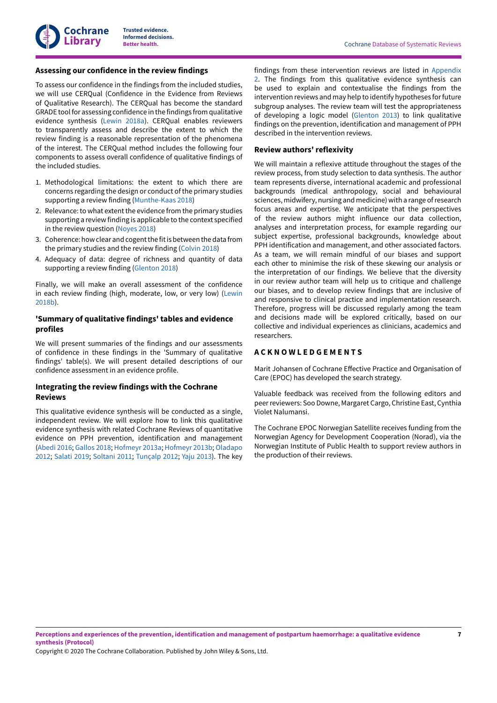

#### **Assessing our confidence in the review findings**

To assess our confidence in the findings from the included studies, we will use CERQual (Confidence in the Evidence from Reviews of Qualitative Research). The CERQual has become the standard GRADE tool for assessing confidence in the findings from qualitative evidence synthesis [\(Lewin](#page-10-13) 2018a). CERQual enables reviewers to transparently assess and describe the extent to which the review finding is a reasonable representation of the phenomena of the interest. The CERQual method includes the following four components to assess overall confidence of qualitative findings of the included studies.

- 1. Methodological limitations: the extent to which there are concerns regarding the design or conduct of the primary studies supporting a review finding [\(Munthe-Kaas](#page-10-14) 2018)
- 2. Relevance: to what extent the evidence from the primary studies supporting a review finding is applicable to the context specified in the review question [\(Noyes](#page-11-17) 2018)
- 3. Coherence: how clear and cogent the fit is between the data from the primary studies and the review finding ([Colvin 2018](#page-9-15))
- 4. Adequacy of data: degree of richness and quantity of data supporting a review finding [\(Glenton](#page-10-15) 2018)

Finally, we will make an overall assessment of the confidence in each review finding (high, moderate, low, or very low) [\(Lewin](#page-10-16) [2018b](#page-10-16)).

# **'Summary of qualitative findings' tables and evidence profiles**

We will present summaries of the findings and our assessments of confidence in these findings in the 'Summary of qualitative findings' table(s). We will present detailed descriptions of our confidence assessment in an evidence profile.

# **Integrating the review findings with the Cochrane Reviews**

This qualitative evidence synthesis will be conducted as a single, independent review. We will explore how to link this qualitative evidence synthesis with related Cochrane Reviews of quantitative evidence on PPH prevention, identification and management [\(Abedi 2016](#page-9-16); [Gallos 2018;](#page-9-17) [Hofmeyr](#page-10-10) 2013a; [Hofmeyr](#page-10-11) 2013b; [Oladapo](#page-11-11) [2012](#page-11-11); [Salati 2019;](#page-11-12) [Soltani](#page-11-13) 2011; [Tunçalp](#page-11-14) 2012; Yaju [2013\)](#page-12-8). The key

findings from these intervention reviews are listed in [Appendix](#page-15-0) [2](#page-15-0). The findings from this qualitative evidence synthesis can be used to explain and contextualise the findings from the intervention reviews and may help to identify hypotheses forfuture subgroup analyses. The review team will test the appropriateness of developing a logic model ([Glenton](#page-10-17) 2013) to link qualitative findings on the prevention, identification and management of PPH described in the intervention reviews.

# **Review authors' reflexivity**

We will maintain a reflexive attitude throughout the stages of the review process, from study selection to data synthesis. The author team represents diverse, international academic and professional backgrounds (medical anthropology, social and behavioural sciences, midwifery, nursing and medicine) with a range ofresearch focus areas and expertise. We anticipate that the perspectives of the review authors might influence our data collection, analyses and interpretation process, for example regarding our subject expertise, professional backgrounds, knowledge about PPH identification and management, and other associated factors. As a team, we will remain mindful of our biases and support each other to minimise the risk of these skewing our analysis or the interpretation of our findings. We believe that the diversity in our review author team will help us to critique and challenge our biases, and to develop review findings that are inclusive of and responsive to clinical practice and implementation research. Therefore, progress will be discussed regularly among the team and decisions made will be explored critically, based on our collective and individual experiences as clinicians, academics and researchers.

# <span id="page-8-0"></span>**A C K N O W L E D G E M E N T S**

Marit Johansen of Cochrane EFective Practice and Organisation of Care (EPOC) has developed the search strategy.

Valuable feedback was received from the following editors and peerreviewers: Soo Downe, Margaret Cargo, Christine East, Cynthia Violet Nalumansi.

The Cochrane EPOC Norwegian Satellite receives funding from the Norwegian Agency for Development Cooperation (Norad), via the Norwegian Institute of Public Health to support review authors in the production of their reviews.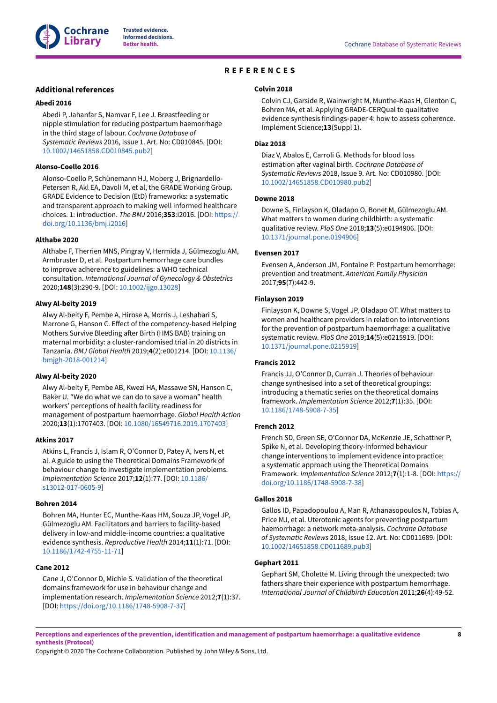

# **REFERENCES**

# <span id="page-9-0"></span>**Additional references**

# <span id="page-9-16"></span>**Abedi 2016**

Abedi P, Jahanfar S, Namvar F, Lee J. Breastfeeding or nipple stimulation for reducing postpartum haemorrhage in the third stage of labour. *Cochrane Database of Systematic Reviews* 2016, Issue 1. Art. No: CD010845. [DOI: [10.1002/14651858.CD010845.pub2](https://doi.org/10.1002%2F14651858.CD010845.pub2)]

#### <span id="page-9-6"></span>**Alonso-Coello 2016**

Alonso-Coello P, Schünemann HJ, Moberg J, Brignardello-Petersen R, Akl EA, Davoli M, et al, the GRADE Working Group. GRADE Evidence to Decision (EtD) frameworks: a systematic and transparent approach to making well informed healthcare choices. 1: introduction. *The BMJ* 2016;**353**:i2016. [DOI: [https://](https://doi.org/https%3A%2F%2Fdoi.org%2F10.1136%2Fbmj.i2016) [doi.org/10.1136/bmj.i2016\]](https://doi.org/https%3A%2F%2Fdoi.org%2F10.1136%2Fbmj.i2016)

#### <span id="page-9-10"></span>**Althabe 2020**

Althabe F, Therrien MNS, Pingray V, Hermida J, Gülmezoglu AM, Armbruster D, et al. Postpartum hemorrhage care bundles to improve adherence to guidelines: a WHO technical consultation. *International Journal of Gynecology & Obstetrics* 2020;**148**(3):290-9. [DOI: [10.1002/ijgo.13028](https://doi.org/10.1002%2Fijgo.13028)]

#### <span id="page-9-7"></span>**Alwy Al-beity 2019**

Alwy Al-beity F, Pembe A, Hirose A, Morris J, Leshabari S, Marrone G, Hanson C. EFect of the competency-based Helping Mothers Survive Bleeding after Birth (HMS BAB) training on maternal morbidity: a cluster-randomised trial in 20 districts in Tanzania. *BMJ Global Health* 2019;**4**(2):e001214. [DOI: [10.1136/](https://doi.org/10.1136%2Fbmjgh-2018-001214) [bmjgh-2018-001214](https://doi.org/10.1136%2Fbmjgh-2018-001214)]

#### <span id="page-9-4"></span>**Alwy Al-beity 2020**

Alwy Al-beity F, Pembe AB, Kwezi HA, Massawe SN, Hanson C, Baker U. "We do what we can do to save a woman" health workers' perceptions of health facility readiness for management of postpartum haemorrhage. *Global Health Action* 2020;**13**(1):1707403. [DOI: [10.1080/16549716.2019.1707403\]](https://doi.org/10.1080%2F16549716.2019.1707403)

#### <span id="page-9-11"></span>**Atkins 2017**

Atkins L, Francis J, Islam R, O'Connor D, Patey A, Ivers N, et al. A guide to using the Theoretical Domains Framework of behaviour change to investigate implementation problems. *Implementation Science* 2017;**12**(1):77. [DOI: [10.1186/](https://doi.org/10.1186%2Fs13012-017-0605-9) [s13012-017-0605-9](https://doi.org/10.1186%2Fs13012-017-0605-9)]

#### <span id="page-9-3"></span>**Bohren 2014**

Bohren MA, Hunter EC, Munthe-Kaas HM, Souza JP, Vogel JP, Gülmezoglu AM. Facilitators and barriers to facility-based delivery in low-and middle-income countries: a qualitative evidence synthesis. *Reproductive Health* 2014;**11**(1):71. [DOI: [10.1186/1742-4755-11-71](https://doi.org/10.1186%2F1742-4755-11-71)]

#### <span id="page-9-12"></span>**Cane 2012**

Cane J, O'Connor D, Michie S. Validation of the theoretical domains framework for use in behaviour change and implementation research. *Implementation Science* 2012;**7**(1):37. [DOI: [https://doi.org/10.1186/1748-5908-7-37\]](https://doi.org/https%3A%2F%2Fdoi.org%2F10.1186%2F1748-5908-7-37)

#### <span id="page-9-15"></span>**Colvin 2018**

Colvin CJ, Garside R, Wainwright M, Munthe-Kaas H, Glenton C, Bohren MA, et al. Applying GRADE-CERQual to qualitative evidence synthesis findings-paper 4: how to assess coherence. Implement Science;**13**(Suppl 1).

#### <span id="page-9-9"></span>**Diaz 2018**

Diaz V, Abalos E, Carroli G. Methods for blood loss estimation after vaginal birth. Cochrane Database of *Systematic Reviews* 2018, Issue 9. Art. No: CD010980. [DOI: [10.1002/14651858.CD010980.pub2\]](https://doi.org/10.1002%2F14651858.CD010980.pub2)

#### <span id="page-9-14"></span>**Downe 2018**

Downe S, Finlayson K, Oladapo O, Bonet M, Gülmezoglu AM. What matters to women during childbirth: a systematic qualitative review. *PloS One* 2018;**13**(5):e0194906. [DOI: [10.1371/journal.pone.0194906](https://doi.org/10.1371%2Fjournal.pone.0194906)]

## <span id="page-9-8"></span>**Evensen 2017**

Evensen A, Anderson JM, Fontaine P. Postpartum hemorrhage: prevention and treatment. *American Family Physician* 2017;**95**(7):442-9.

#### <span id="page-9-1"></span>**Finlayson 2019**

Finlayson K, Downe S, Vogel JP, Oladapo OT. What matters to women and healthcare providers in relation to interventions for the prevention of postpartum haemorrhage: a qualitative systematic review. *PloS One* 2019;**14**(5):e0215919. [DOI: [10.1371/journal.pone.0215919](https://doi.org/10.1371%2Fjournal.pone.0215919)]

#### <span id="page-9-13"></span>**Francis 2012**

Francis JJ, O'Connor D, Curran J. Theories of behaviour change synthesised into a set of theoretical groupings: introducing a thematic series on the theoretical domains framework. *Implementation Science* 2012;**7**(1):35. [DOI: [10.1186/1748-5908-7-35](https://doi.org/10.1186%2F1748-5908-7-35)]

# <span id="page-9-2"></span>**French 2012**

French SD, Green SE, O'Connor DA, McKenzie JE, Schattner P, Spike N, et al. Developing theory-informed behaviour change interventions to implement evidence into practice: a systematic approach using the Theoretical Domains Framework. *Implementation Science* 2012;**7**(1):1-8. [DOI: [https://](https://doi.org/https%3A%2F%2Fdoi.org%2F10.1186%2F1748-5908-7-38) [doi.org/10.1186/1748-5908-7-38](https://doi.org/https%3A%2F%2Fdoi.org%2F10.1186%2F1748-5908-7-38)]

# <span id="page-9-17"></span>**Gallos 2018**

Gallos ID, Papadopoulou A, Man R, Athanasopoulos N, Tobias A, Price MJ, et al. Uterotonic agents for preventing postpartum haemorrhage: a network meta-analysis. *Cochrane Database of Systematic Reviews* 2018, Issue 12. Art. No: CD011689. [DOI: [10.1002/14651858.CD011689.pub3\]](https://doi.org/10.1002%2F14651858.CD011689.pub3)

#### <span id="page-9-5"></span>**Gephart 2011**

Gephart SM, Cholette M. Living through the unexpected: two fathers share their experience with postpartum hemorrhage. *International Journal of Childbirth Education* 2011;**26**(4):49-52.

Perceptions and experiences of the prevention, identification and management of postpartum haemorrhage: a qualitative evidence **synthesis (Protocol)**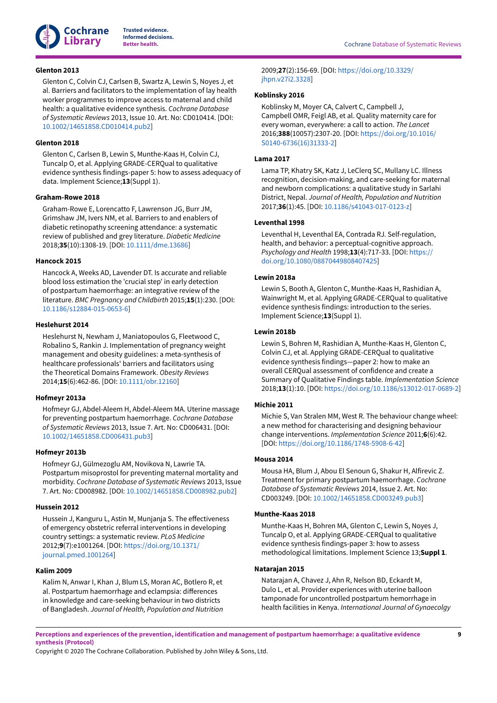

# <span id="page-10-17"></span>**Glenton 2013**

Glenton C, Colvin CJ, Carlsen B, Swartz A, Lewin S, Noyes J, et al. Barriers and facilitators to the implementation of lay health worker programmes to improve access to maternal and child health: a qualitative evidence synthesis. *Cochrane Database of Systematic Reviews* 2013, Issue 10. Art. No: CD010414. [DOI: [10.1002/14651858.CD010414.pub2](https://doi.org/10.1002%2F14651858.CD010414.pub2)]

# <span id="page-10-15"></span>**Glenton 2018**

Glenton C, Carlsen B, Lewin S, Munthe-Kaas H, Colvin CJ, Tuncalp O, et al. Applying GRADE-CERQual to qualitative evidence synthesis findings-paper 5: how to assess adequacy of data. Implement Science;**13**(Suppl 1).

# <span id="page-10-7"></span>**Graham-Rowe 2018**

Graham-Rowe E, Lorencatto F, Lawrenson JG, Burr JM, Grimshaw JM, Ivers NM, et al. Barriers to and enablers of diabetic retinopathy screening attendance: a systematic review of published and grey literature. *Diabetic Medicine* 2018;**35**(10):1308-19. [DOI: [10.1111/dme.13686](https://doi.org/10.1111%2Fdme.13686)]

# <span id="page-10-6"></span>**Hancock 2015**

Hancock A, Weeks AD, Lavender DT. Is accurate and reliable blood loss estimation the 'crucial step' in early detection of postpartum haemorrhage: an integrative review of the literature. *BMC Pregnancy and Childbirth* 2015;**15**(1):230. [DOI: [10.1186/s12884-015-0653-6\]](https://doi.org/10.1186%2Fs12884-015-0653-6)

#### <span id="page-10-8"></span>**Heslehurst 2014**

Heslehurst N, Newham J, Maniatopoulos G, Fleetwood C, Robalino S, Rankin J. Implementation of pregnancy weight management and obesity guidelines: a meta-synthesis of healthcare professionals' barriers and facilitators using the Theoretical Domains Framework. *Obesity Reviews* 2014;**15**(6):462-86. [DOI: [10.1111/obr.12160\]](https://doi.org/10.1111%2Fobr.12160)

# <span id="page-10-10"></span>**Hofmeyr 2013a**

Hofmeyr GJ, Abdel-Aleem H, Abdel-Aleem MA. Uterine massage for preventing postpartum haemorrhage. *Cochrane Database of Systematic Reviews* 2013, Issue 7. Art. No: CD006431. [DOI: [10.1002/14651858.CD006431.pub3](https://doi.org/10.1002%2F14651858.CD006431.pub3)]

## <span id="page-10-11"></span>**Hofmeyr 2013b**

Hofmeyr GJ, Gülmezoglu AM, Novikova N, Lawrie TA. Postpartum misoprostol for preventing maternal mortality and morbidity. *Cochrane Database of Systematic Reviews* 2013, Issue 7. Art. No: CD008982. [DOI: [10.1002/14651858.CD008982.pub2\]](https://doi.org/10.1002%2F14651858.CD008982.pub2)

# <span id="page-10-1"></span>**Hussein 2012**

Hussein J, Kanguru L, Astin M, Munjanja S. The effectiveness of emergency obstetric referral interventions in developing country settings: a systematic review. *PLoS Medicine* 2012;**9**(7):e1001264. [DOI: [https://doi.org/10.1371/](https://doi.org/https%3A%2F%2Fdoi.org%2F10.1371%2Fjournal.pmed.1001264) [journal.pmed.1001264\]](https://doi.org/https%3A%2F%2Fdoi.org%2F10.1371%2Fjournal.pmed.1001264)

# <span id="page-10-4"></span>**Kalim 2009**

Kalim N, Anwar I, Khan J, Blum LS, Moran AC, Botlero R, et al. Postpartum haemorrhage and eclampsia: diFerences in knowledge and care-seeking behaviour in two districts of Bangladesh. *Journal of Health, Population and Nutrition*

2009;**27**(2):156-69. [DOI: [https://doi.org/10.3329/](https://doi.org/https%3A%2F%2Fdoi.org%2F10.3329%2Fjhpn.v27i2.3328) [jhpn.v27i2.3328](https://doi.org/https%3A%2F%2Fdoi.org%2F10.3329%2Fjhpn.v27i2.3328)]

# <span id="page-10-0"></span>**Koblinsky 2016**

Koblinsky M, Moyer CA, Calvert C, Campbell J, Campbell OMR, Feigl AB, et al. Quality maternity care for every woman, everywhere: a call to action. *The Lancet* 2016;**388**(10057):2307-20. [DOI: [https://doi.org/10.1016/](https://doi.org/https%3A%2F%2Fdoi.org%2F10.1016%2FS0140-6736%2816%2931333-2) [S0140-6736\(16\)31333-2\]](https://doi.org/https%3A%2F%2Fdoi.org%2F10.1016%2FS0140-6736%2816%2931333-2)

#### <span id="page-10-5"></span>**Lama 2017**

Lama TP, Khatry SK, Katz J, LeClerq SC, Mullany LC. Illness recognition, decision-making, and care-seeking for maternal and newborn complications: a qualitative study in Sarlahi District, Nepal. *Journal of Health, Population and Nutrition* 2017;**36**(1):45. [DOI: [10.1186/s41043-017-0123-z\]](https://doi.org/10.1186%2Fs41043-017-0123-z)

# <span id="page-10-9"></span>**Leventhal 1998**

Leventhal H, Leventhal EA, Contrada RJ. Self-regulation, health, and behavior: a perceptual-cognitive approach. *Psychology and Health* 1998;**13**(4):717-33. [DOI: [https://](https://doi.org/https%3A%2F%2Fdoi.org%2F10.1080%2F08870449808407425) [doi.org/10.1080/08870449808407425\]](https://doi.org/https%3A%2F%2Fdoi.org%2F10.1080%2F08870449808407425)

# <span id="page-10-13"></span>**Lewin 2018a**

Lewin S, Booth A, Glenton C, Munthe-Kaas H, Rashidian A, Wainwright M, et al. Applying GRADE-CERQual to qualitative evidence synthesis findings: introduction to the series. Implement Science;**13**(Suppl 1).

# <span id="page-10-16"></span>**Lewin 2018b**

Lewin S, Bohren M, Rashidian A, Munthe-Kaas H, Glenton C, Colvin CJ, et al. Applying GRADE-CERQual to qualitative evidence synthesis findings—paper 2: how to make an overall CERQual assessment of confidence and create a Summary of Qualitative Findings table. *Implementation Science* 2018;**13**(1):10. [DOI: [https://doi.org/10.1186/s13012-017-0689-2\]](https://doi.org/https%3A%2F%2Fdoi.org%2F10.1186%2Fs13012-017-0689-2)

#### <span id="page-10-2"></span>**Michie 2011**

Michie S, Van Stralen MM, West R. The behaviour change wheel: a new method for characterising and designing behaviour change interventions. *Implementation Science* 2011;**6**(6):42. [DOI: [https://doi.org/10.1186/1748-5908-6-42](https://doi.org/https%3A%2F%2Fdoi.org%2F10.1186%2F1748-5908-6-42)]

# <span id="page-10-12"></span>**Mousa 2014**

Mousa HA, Blum J, Abou El Senoun G, Shakur H, Alfirevic Z. Treatment for primary postpartum haemorrhage. *Cochrane Database of Systematic Reviews* 2014, Issue 2. Art. No: CD003249. [DOI: [10.1002/14651858.CD003249.pub3\]](https://doi.org/10.1002%2F14651858.CD003249.pub3)

# <span id="page-10-14"></span>**Munthe-Kaas 2018**

Munthe-Kaas H, Bohren MA, Glenton C, Lewin S, Noyes J, Tuncalp O, et al. Applying GRADE-CERQual to qualitative evidence synthesis findings-paper 3: how to assess methodological limitations. Implement Science 13;**Suppl 1**.

# <span id="page-10-3"></span>**Natarajan 2015**

Natarajan A, Chavez J, Ahn R, Nelson BD, Eckardt M, Dulo L, et al. Provider experiences with uterine balloon tamponade for uncontrolled postpartum hemorrhage in health facilities in Kenya. *International Journal of Gynaecolgy*

Perceptions and experiences of the prevention, identification and management of postpartum haemorrhage: a qualitative evidence **synthesis (Protocol)**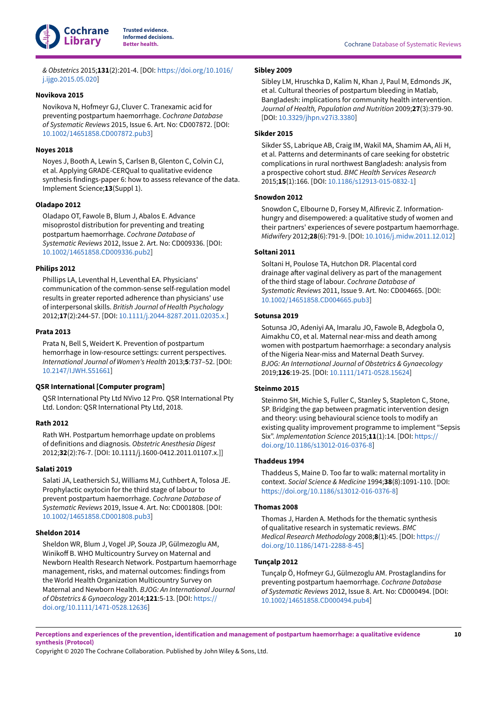

*& Obstetrics* 2015;**131**(2):201-4. [DOI: [https://doi.org/10.1016/](https://doi.org/https%3A%2F%2Fdoi.org%2F10.1016%2Fj.ijgo.2015.05.020) [j.ijgo.2015.05.020](https://doi.org/https%3A%2F%2Fdoi.org%2F10.1016%2Fj.ijgo.2015.05.020)]

#### <span id="page-11-10"></span>**Novikova 2015**

Novikova N, Hofmeyr GJ, Cluver C. Tranexamic acid for preventing postpartum haemorrhage. *Cochrane Database of Systematic Reviews* 2015, Issue 6. Art. No: CD007872. [DOI: [10.1002/14651858.CD007872.pub3](https://doi.org/10.1002%2F14651858.CD007872.pub3)]

#### <span id="page-11-17"></span>**Noyes 2018**

Noyes J, Booth A, Lewin S, Carlsen B, Glenton C, Colvin CJ, et al. Applying GRADE-CERQual to qualitative evidence synthesis findings-paper 6: how to assess relevance of the data. Implement Science;**13**(Suppl 1).

#### <span id="page-11-11"></span>**Oladapo 2012**

Oladapo OT, Fawole B, Blum J, Abalos E. Advance misoprostol distribution for preventing and treating postpartum haemorrhage. *Cochrane Database of Systematic Reviews* 2012, Issue 2. Art. No: CD009336. [DOI: [10.1002/14651858.CD009336.pub2](https://doi.org/10.1002%2F14651858.CD009336.pub2)]

# <span id="page-11-9"></span>**Philips 2012**

Phillips LA, Leventhal H, Leventhal EA. Physicians' communication of the common-sense self-regulation model results in greater reported adherence than physicians' use of interpersonal skills. *British Journal of Health Psychology* 2012;**17**(2):244-57. [DOI: [10.1111/j.2044-8287.2011.02035.x.](https://doi.org/10.1111%2Fj.2044-8287.2011.02035.x.)]

# <span id="page-11-3"></span>**Prata 2013**

Prata N, Bell S, Weidert K. Prevention of postpartum hemorrhage in low-resource settings: current perspectives. *International Journal of Women's Health* 2013;**5**:737–52. [DOI: [10.2147/IJWH.S51661](https://doi.org/10.2147%2FIJWH.S51661)]

# <span id="page-11-16"></span>**QSR International [Computer program]**

QSR International Pty Ltd NVivo 12 Pro. QSR International Pty Ltd. London: QSR International Pty Ltd, 2018.

# <span id="page-11-1"></span>**Rath 2012**

Rath WH. Postpartum hemorrhage update on problems of definitions and diagnosis. *Obstetric Anesthesia Digest* 2012;**32**(2):76-7. [DOI: 10.1111/j.1600-0412.2011.01107.x.]]

# <span id="page-11-12"></span>**Salati 2019**

Salati JA, Leathersich SJ, Williams MJ, Cuthbert A, Tolosa JE. Prophylactic oxytocin for the third stage of labour to prevent postpartum haemorrhage. *Cochrane Database of Systematic Reviews* 2019, Issue 4. Art. No: CD001808. [DOI: [10.1002/14651858.CD001808.pub3](https://doi.org/10.1002%2F14651858.CD001808.pub3)]

#### <span id="page-11-0"></span>**Sheldon 2014**

Sheldon WR, Blum J, Vogel JP, Souza JP, Gülmezoglu AM, Winikoff B. WHO Multicountry Survey on Maternal and Newborn Health Research Network. Postpartum haemorrhage management, risks, and maternal outcomes: findings from the World Health Organization Multicountry Survey on Maternal and Newborn Health. *BJOG: An International Journal of Obstetrics & Gynaecology* 2014;**121**:5-13. [DOI: [https://](https://doi.org/https%3A%2F%2Fdoi.org%2F10.1111%2F1471-0528.12636) [doi.org/10.1111/1471-0528.12636\]](https://doi.org/https%3A%2F%2Fdoi.org%2F10.1111%2F1471-0528.12636)

#### <span id="page-11-6"></span>**Sibley 2009**

Sibley LM, Hruschka D, Kalim N, Khan J, Paul M, Edmonds JK, et al. Cultural theories of postpartum bleeding in Matlab, Bangladesh: implications for community health intervention. *Journal of Health, Population and Nutrition* 2009;**27**(3):379-90. [DOI: [10.3329/jhpn.v27i3.3380](https://doi.org/10.3329%2Fjhpn.v27i3.3380)]

# <span id="page-11-7"></span>**Sikder 2015**

Sikder SS, Labrique AB, Craig IM, Wakil MA, Shamim AA, Ali H, et al. Patterns and determinants of care seeking for obstetric complications in rural northwest Bangladesh: analysis from a prospective cohort stud. *BMC Health Services Research* 2015;**15**(1):166. [DOI: [10.1186/s12913-015-0832-1\]](https://doi.org/10.1186%2Fs12913-015-0832-1)

#### <span id="page-11-2"></span>**Snowdon 2012**

Snowdon C, Elbourne D, Forsey M, Alfirevic Z. Informationhungry and disempowered: a qualitative study of women and their partners' experiences of severe postpartum haemorrhage. *Midwifery* 2012;**28**(6):791-9. [DOI: [10.1016/j.midw.2011.12.012](https://doi.org/10.1016%2Fj.midw.2011.12.012)]

#### <span id="page-11-13"></span>**Soltani 2011**

Soltani H, Poulose TA, Hutchon DR. Placental cord drainage after vaginal delivery as part of the management of the third stage of labour. *Cochrane Database of Systematic Reviews* 2011, Issue 9. Art. No: CD004665. [DOI: [10.1002/14651858.CD004665.pub3\]](https://doi.org/10.1002%2F14651858.CD004665.pub3)

#### <span id="page-11-5"></span>**Sotunsa 2019**

Sotunsa JO, Adeniyi AA, Imaralu JO, Fawole B, Adegbola O, Aimakhu CO, et al. Maternal near-miss and death among women with postpartum haemorrhage: a secondary analysis of the Nigeria Near-miss and Maternal Death Survey. *BJOG: An International Journal of Obstetrics & Gynaecology* 2019;**126**:19-25. [DOI: [10.1111/1471-0528.15624\]](https://doi.org/10.1111%2F1471-0528.15624)

#### <span id="page-11-4"></span>**Steinmo 2015**

Steinmo SH, Michie S, Fuller C, Stanley S, Stapleton C, Stone, SP. Bridging the gap between pragmatic intervention design and theory: using behavioural science tools to modify an existing quality improvement programme to implement "Sepsis Six". *Implementation Science* 2015;**11**(1):14. [DOI: [https://](https://doi.org/https%3A%2F%2Fdoi.org%2F10.1186%2Fs13012-016-0376-8) [doi.org/10.1186/s13012-016-0376-8](https://doi.org/https%3A%2F%2Fdoi.org%2F10.1186%2Fs13012-016-0376-8)]

# <span id="page-11-8"></span>**Thaddeus 1994**

Thaddeus S, Maine D. Too far to walk: maternal mortality in context. *Social Science & Medicine* 1994;**38**(8):1091-110. [DOI: [https://doi.org/10.1186/s13012-016-0376-8](https://doi.org/https%3A%2F%2Fdoi.org%2F10.1186%2Fs13012-016-0376-8)]

#### <span id="page-11-15"></span>**Thomas 2008**

Thomas J, Harden A. Methods for the thematic synthesis of qualitative research in systematic reviews. *BMC Medical Research Methodology* 2008;**8**(1):45. [DOI: [https://](https://doi.org/https%3A%2F%2Fdoi.org%2F10.1186%2F1471-2288-8-45) [doi.org/10.1186/1471-2288-8-45](https://doi.org/https%3A%2F%2Fdoi.org%2F10.1186%2F1471-2288-8-45)]

#### <span id="page-11-14"></span>**Tunçalp 2012**

Tunçalp Ö, Hofmeyr GJ, Gülmezoglu AM. Prostaglandins for preventing postpartum haemorrhage. *Cochrane Database of Systematic Reviews* 2012, Issue 8. Art. No: CD000494. [DOI: [10.1002/14651858.CD000494.pub4\]](https://doi.org/10.1002%2F14651858.CD000494.pub4)

Perceptions and experiences of the prevention, identification and management of postpartum haemorrhage: a qualitative evidence **synthesis (Protocol)**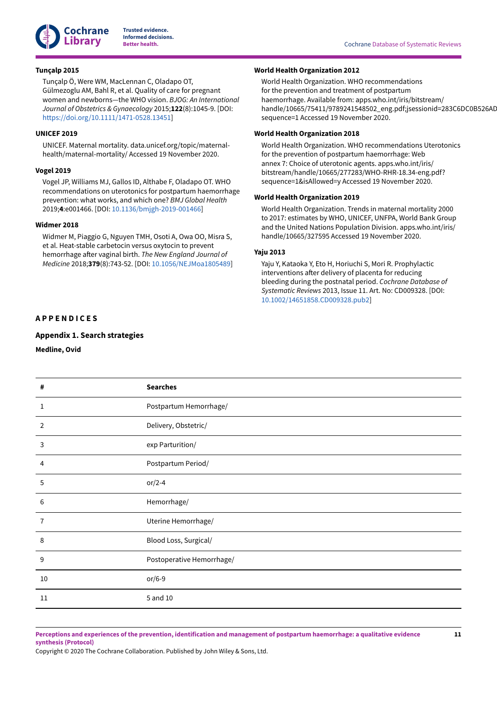

#### <span id="page-12-4"></span>**Tunçalp 2015**

Tunçalp Ӧ, Were WM, MacLennan C, Oladapo OT, Gülmezoglu AM, Bahl R, et al. Quality of care for pregnant women and newborns—the WHO vision. *BJOG: An International Journal of Obstetrics & Gynaecology* 2015;**122**(8):1045-9. [DOI: [https://doi.org/10.1111/1471-0528.13451\]](https://doi.org/https%3A%2F%2Fdoi.org%2F10.1111%2F1471-0528.13451)

# <span id="page-12-1"></span>**UNICEF 2019**

UNICEF. Maternal mortality. data.unicef.org/topic/maternalhealth/maternal-mortality/ Accessed 19 November 2020.

#### <span id="page-12-7"></span>**Vogel 2019**

Vogel JP, Williams MJ, Gallos ID, Althabe F, Oladapo OT. WHO recommendations on uterotonics for postpartum haemorrhage prevention: what works, and which one? *BMJ Global Health* 2019;**4**:e001466. [DOI: [10.1136/bmjgh-2019-001466\]](https://doi.org/10.1136%2Fbmjgh-2019-001466)

#### <span id="page-12-6"></span>**Widmer 2018**

Widmer M, Piaggio G, Nguyen TMH, Osoti A, Owa OO, Misra S, et al. Heat-stable carbetocin versus oxytocin to prevent hemorrhage after vaginal birth. The New England Journal of *Medicine* 2018;**379**(8):743-52. [DOI: [10.1056/NEJMoa1805489](https://doi.org/10.1056%2FNEJMoa1805489)]

#### <span id="page-12-2"></span>**World Health Organization 2012**

World Health Organization. WHO recommendations for the prevention and treatment of postpartum haemorrhage. Available from: apps.who.int/iris/bitstream/ handle/10665/75411/9789241548502\_eng.pdf;jsessionid=283C6DC0B526AD sequence=1 Accessed 19 November 2020.

# <span id="page-12-3"></span>**World Health Organization 2018**

World Health Organization. WHO recommendations Uterotonics for the prevention of postpartum haemorrhage: Web annex 7: Choice of uterotonic agents. apps.who.int/iris/ bitstream/handle/10665/277283/WHO-RHR-18.34-eng.pdf? sequence=1&isAllowed=y Accessed 19 November 2020.

#### <span id="page-12-5"></span>**World Health Organization 2019**

World Health Organization. Trends in maternal mortality 2000 to 2017: estimates by WHO, UNICEF, UNFPA, World Bank Group and the United Nations Population Division. apps.who.int/iris/ handle/10665/327595 Accessed 19 November 2020.

#### <span id="page-12-8"></span>**Yaju 2013**

Yaju Y, Kataoka Y, Eto H, Horiuchi S, Mori R. Prophylactic interventions after delivery of placenta for reducing bleeding during the postnatal period. *Cochrane Database of Systematic Reviews* 2013, Issue 11. Art. No: CD009328. [DOI: [10.1002/14651858.CD009328.pub2\]](https://doi.org/10.1002%2F14651858.CD009328.pub2)

# <span id="page-12-0"></span>**A P P E N D I C E S**

# <span id="page-12-9"></span>**Appendix 1.Search strategies**

#### **Medline, Ovid**

| #              | <b>Searches</b>           |
|----------------|---------------------------|
| 1              | Postpartum Hemorrhage/    |
| $\overline{2}$ | Delivery, Obstetric/      |
| 3              | exp Parturition/          |
| 4              | Postpartum Period/        |
| 5              | $or/2-4$                  |
| 6              | Hemorrhage/               |
| 7              | Uterine Hemorrhage/       |
| 8              | Blood Loss, Surgical/     |
| 9              | Postoperative Hemorrhage/ |
| 10             | $or/6-9$                  |
| 11             | 5 and 10                  |

Perceptions and experiences of the prevention, identification and management of postpartum haemorrhage: a qualitative evidence **synthesis (Protocol)**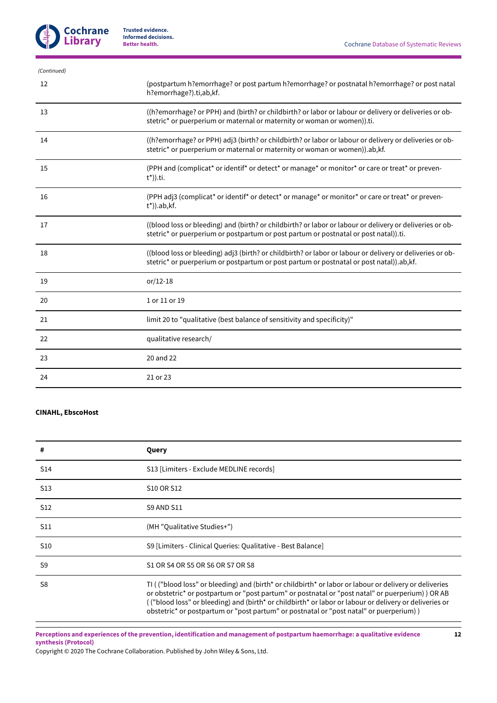| <b>Cochrane</b> |
|-----------------|
| Library         |

| (Continued) |                                                                                                                                                                                                      |
|-------------|------------------------------------------------------------------------------------------------------------------------------------------------------------------------------------------------------|
| 12          | (postpartum h?emorrhage? or post partum h?emorrhage? or postnatal h?emorrhage? or post natal<br>h?emorrhage?).ti,ab,kf.                                                                              |
| 13          | ((h?emorrhage? or PPH) and (birth? or childbirth? or labor or labour or delivery or deliveries or ob-<br>stetric* or puerperium or maternal or maternity or woman or women)).ti.                     |
| 14          | ((h?emorrhage? or PPH) adj3 (birth? or childbirth? or labor or labour or delivery or deliveries or ob-<br>stetric* or puerperium or maternal or maternity or woman or women)).ab,kf.                 |
| 15          | (PPH and (complicat* or identif* or detect* or manage* or monitor* or care or treat* or preven-<br>$(t^*)$ ).ti.                                                                                     |
| 16          | (PPH adj3 (complicat* or identif* or detect* or manage* or monitor* or care or treat* or preven-<br>$(t^*)$ ).ab,kf.                                                                                 |
| 17          | ((blood loss or bleeding) and (birth? or childbirth? or labor or labour or delivery or deliveries or ob-<br>stetric* or puerperium or postpartum or post partum or postnatal or post natal)).ti.     |
| 18          | ((blood loss or bleeding) adj3 (birth? or childbirth? or labor or labour or delivery or deliveries or ob-<br>stetric* or puerperium or postpartum or post partum or postnatal or post natal)).ab,kf. |
| 19          | $or/12-18$                                                                                                                                                                                           |
| 20          | 1 or 11 or 19                                                                                                                                                                                        |
| 21          | limit 20 to "qualitative (best balance of sensitivity and specificity)"                                                                                                                              |
| 22          | qualitative research/                                                                                                                                                                                |
| 23          | 20 and 22                                                                                                                                                                                            |
| 24          | 21 or 23                                                                                                                                                                                             |

# **CINAHL, EbscoHost**

| #               | Query                                                                                                                                                                                                                                                                                                                                                                                                         |
|-----------------|---------------------------------------------------------------------------------------------------------------------------------------------------------------------------------------------------------------------------------------------------------------------------------------------------------------------------------------------------------------------------------------------------------------|
| S <sub>14</sub> | S13 [Limiters - Exclude MEDLINE records]                                                                                                                                                                                                                                                                                                                                                                      |
| S <sub>13</sub> | S10 OR S12                                                                                                                                                                                                                                                                                                                                                                                                    |
| S <sub>12</sub> | <b>S9 AND S11</b>                                                                                                                                                                                                                                                                                                                                                                                             |
| S <sub>11</sub> | (MH "Qualitative Studies+")                                                                                                                                                                                                                                                                                                                                                                                   |
| S <sub>10</sub> | S9 [Limiters - Clinical Queries: Qualitative - Best Balance]                                                                                                                                                                                                                                                                                                                                                  |
| S <sub>9</sub>  | S1 OR S4 OR S5 OR S6 OR S7 OR S8                                                                                                                                                                                                                                                                                                                                                                              |
| S <sub>8</sub>  | TI ("blood loss" or bleeding) and (birth* or childbirth* or labor or labour or delivery or deliveries<br>or obstetric* or postpartum or "post partum" or postnatal or "post natal" or puerperium) ) OR AB<br>("blood loss" or bleeding) and (birth* or childbirth* or labor or labour or delivery or deliveries or<br>obstetric* or postpartum or "post partum" or postnatal or "post natal" or puerperium) ) |

Perceptions and experiences of the prevention, identification and management of postpartum haemorrhage: a qualitative evidence **synthesis (Protocol)**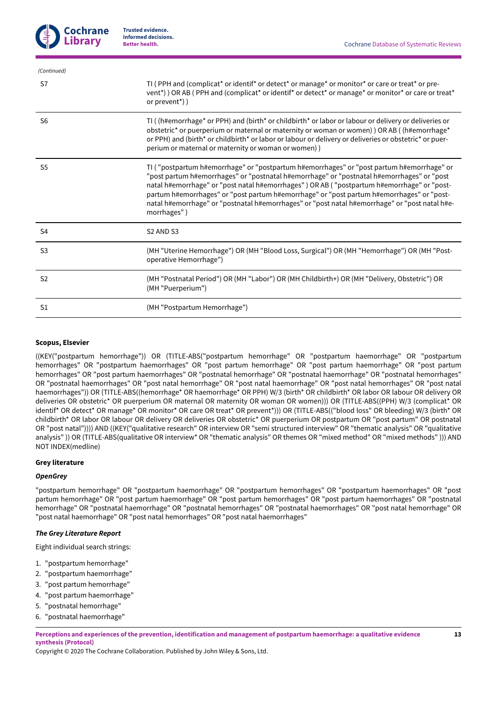| (Continued)    |                                                                                                                                                                                                                                                                                                                                                                                                                                                                                                      |
|----------------|------------------------------------------------------------------------------------------------------------------------------------------------------------------------------------------------------------------------------------------------------------------------------------------------------------------------------------------------------------------------------------------------------------------------------------------------------------------------------------------------------|
| S7             | TI (PPH and (complicat* or identif* or detect* or manage* or monitor* or care or treat* or pre-<br>vent*) ) OR AB (PPH and (complicat* or identif* or detect* or manage* or monitor* or care or treat*<br>or prevent <sup>*</sup> ) )                                                                                                                                                                                                                                                                |
| S <sub>6</sub> | TI ((h#emorrhage* or PPH) and (birth* or childbirth* or labor or labour or delivery or deliveries or<br>obstetric* or puerperium or maternal or maternity or woman or women) ) OR AB ((h#emorrhage*<br>or PPH) and (birth* or childbirth* or labor or labour or delivery or deliveries or obstetric* or puer-<br>perium or maternal or maternity or woman or women) )                                                                                                                                |
| S <sub>5</sub> | TI ("postpartum h#emorrhage" or "postpartum h#emorrhages" or "post partum h#emorrhage" or<br>"post partum h#emorrhages" or "postnatal h#emorrhage" or "postnatal h#emorrhages" or "post<br>natal h#emorrhage" or "post natal h#emorrhages" ) OR AB ("postpartum h#emorrhage" or "post-<br>partum h#emorrhages" or "post partum h#emorrhage" or "post partum h#emorrhages" or "post-<br>natal h#emorrhage" or "postnatal h#emorrhages" or "post natal h#emorrhage" or "post natal h#e-<br>morrhages") |
| S <sub>4</sub> | S <sub>2</sub> AND S <sub>3</sub>                                                                                                                                                                                                                                                                                                                                                                                                                                                                    |
| S <sub>3</sub> | (MH "Uterine Hemorrhage") OR (MH "Blood Loss, Surgical") OR (MH "Hemorrhage") OR (MH "Post-<br>operative Hemorrhage")                                                                                                                                                                                                                                                                                                                                                                                |
| S <sub>2</sub> | (MH "Postnatal Period") OR (MH "Labor") OR (MH Childbirth+) OR (MH "Delivery, Obstetric") OR<br>(MH "Puerperium")                                                                                                                                                                                                                                                                                                                                                                                    |
| S <sub>1</sub> | (MH "Postpartum Hemorrhage")                                                                                                                                                                                                                                                                                                                                                                                                                                                                         |

# **Scopus, Elsevier**

((KEY("postpartum hemorrhage")) OR (TITLE-ABS("postpartum hemorrhage" OR "postpartum haemorrhage" OR "postpartum hemorrhages" OR "postpartum haemorrhages" OR "post partum hemorrhage" OR "post partum haemorrhage" OR "post partum hemorrhages" OR "post partum haemorrhages" OR "postnatal hemorrhage" OR "postnatal haemorrhage" OR "postnatal hemorrhages" OR "postnatal haemorrhages" OR "post natal hemorrhage" OR "post natal haemorrhage" OR "post natal hemorrhages" OR "post natal haemorrhages")) OR (TITLE-ABS((hemorrhage\* OR haemorrhage\* OR PPH) W/3 (birth\* OR childbirth\* OR labor OR labour OR delivery OR deliveries OR obstetric\* OR puerperium OR maternal OR maternity OR woman OR women))) OR (TITLE-ABS((PPH) W/3 (complicat\* OR identif\* OR detect\* OR manage\* OR monitor\* OR care OR treat\* OR prevent\*))) OR (TITLE-ABS(("blood loss" OR bleeding) W/3 (birth\* OR childbirth\* OR labor OR labour OR delivery OR deliveries OR obstetric\* OR puerperium OR postpartum OR "post partum" OR postnatal OR "post natal")))) AND ((KEY("qualitative research" OR interview OR "semi structured interview" OR "thematic analysis" OR "qualitative analysis" )) OR (TITLE-ABS(qualitative OR interview\* OR "thematic analysis" OR themes OR "mixed method" OR "mixed methods" ))) AND NOT INDEX(medline)

#### **Grey literature**

#### *OpenGrey*

"postpartum hemorrhage" OR "postpartum haemorrhage" OR "postpartum hemorrhages" OR "postpartum haemorrhages" OR "post partum hemorrhage" OR "post partum haemorrhage" OR "post partum hemorrhages" OR "post partum haemorrhages" OR "postnatal hemorrhage" OR "postnatal haemorrhage" OR "postnatal hemorrhages" OR "postnatal haemorrhages" OR "post natal hemorrhage" OR "post natal haemorrhage" OR "post natal hemorrhages" OR "post natal haemorrhages"

#### *The Grey Literature Report*

Eight individual search strings:

- 1. "postpartum hemorrhage"
- 2. "postpartum haemorrhage"
- 3. "post partum hemorrhage"
- 4. "post partum haemorrhage"
- 5. "postnatal hemorrhage"
- 6. "postnatal haemorrhage"

Perceptions and experiences of the prevention, identification and management of postpartum haemorrhage: a qualitative evidence **synthesis (Protocol)**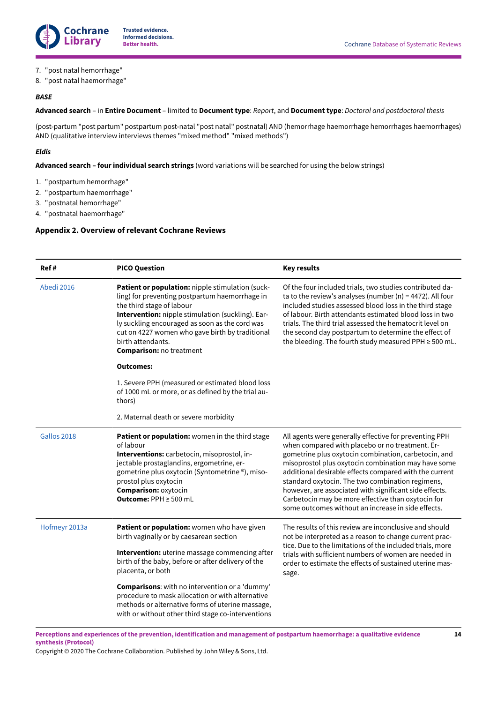

- 7. "post natal hemorrhage"
- 8. "post natal haemorrhage"

# *BASE*

# **Advanced search** – in **Entire Document** – limited to **Document type**: *Report*, and **Document type**: *Doctoral and postdoctoral thesis*

(post-partum "post partum" postpartum post-natal "post natal" postnatal) AND (hemorrhage haemorrhage hemorrhages haemorrhages) AND (qualitative interview interviews themes "mixed method" "mixed methods")

# *Eldis*

**Advanced search – four individual search strings** (word variations will be searched for using the below strings)

- 1. "postpartum hemorrhage"
- 2. "postpartum haemorrhage"
- 3. "postnatal hemorrhage"
- 4. "postnatal haemorrhage"

# <span id="page-15-0"></span>**Appendix 2. Overview of relevant Cochrane Reviews**

| Ref#          | <b>PICO Question</b>                                                                                                                                                                                                                                                                                                                              | <b>Key results</b>                                                                                                                                                                                                                                                                                                                                                                                                                                                                                           |
|---------------|---------------------------------------------------------------------------------------------------------------------------------------------------------------------------------------------------------------------------------------------------------------------------------------------------------------------------------------------------|--------------------------------------------------------------------------------------------------------------------------------------------------------------------------------------------------------------------------------------------------------------------------------------------------------------------------------------------------------------------------------------------------------------------------------------------------------------------------------------------------------------|
| Abedi 2016    | Patient or population: nipple stimulation (suck-<br>ling) for preventing postpartum haemorrhage in<br>the third stage of labour<br>Intervention: nipple stimulation (suckling). Ear-<br>ly suckling encouraged as soon as the cord was<br>cut on 4227 women who gave birth by traditional<br>birth attendants.<br><b>Comparison: no treatment</b> | Of the four included trials, two studies contributed da-<br>ta to the review's analyses (number (n) = $4472$ ). All four<br>included studies assessed blood loss in the third stage<br>of labour. Birth attendants estimated blood loss in two<br>trials. The third trial assessed the hematocrit level on<br>the second day postpartum to determine the effect of<br>the bleeding. The fourth study measured PPH ≥ 500 mL.                                                                                  |
|               | <b>Outcomes:</b>                                                                                                                                                                                                                                                                                                                                  |                                                                                                                                                                                                                                                                                                                                                                                                                                                                                                              |
|               | 1. Severe PPH (measured or estimated blood loss<br>of 1000 mL or more, or as defined by the trial au-<br>thors)                                                                                                                                                                                                                                   |                                                                                                                                                                                                                                                                                                                                                                                                                                                                                                              |
|               | 2. Maternal death or severe morbidity                                                                                                                                                                                                                                                                                                             |                                                                                                                                                                                                                                                                                                                                                                                                                                                                                                              |
| Gallos 2018   | Patient or population: women in the third stage<br>of labour<br>Interventions: carbetocin, misoprostol, in-<br>jectable prostaglandins, ergometrine, er-<br>gometrine plus oxytocin (Syntometrine®), miso-<br>prostol plus oxytocin<br>Comparison: oxytocin<br>Outcome: PPH ≥ 500 mL                                                              | All agents were generally effective for preventing PPH<br>when compared with placebo or no treatment. Er-<br>gometrine plus oxytocin combination, carbetocin, and<br>misoprostol plus oxytocin combination may have some<br>additional desirable effects compared with the current<br>standard oxytocin. The two combination regimens,<br>however, are associated with significant side effects.<br>Carbetocin may be more effective than oxytocin for<br>some outcomes without an increase in side effects. |
| Hofmeyr 2013a | Patient or population: women who have given<br>birth vaginally or by caesarean section                                                                                                                                                                                                                                                            | The results of this review are inconclusive and should<br>not be interpreted as a reason to change current prac-                                                                                                                                                                                                                                                                                                                                                                                             |
|               | Intervention: uterine massage commencing after<br>birth of the baby, before or after delivery of the<br>placenta, or both                                                                                                                                                                                                                         | tice. Due to the limitations of the included trials, more<br>trials with sufficient numbers of women are needed in<br>order to estimate the effects of sustained uterine mas-<br>sage.                                                                                                                                                                                                                                                                                                                       |
|               | <b>Comparisons:</b> with no intervention or a 'dummy'<br>procedure to mask allocation or with alternative<br>methods or alternative forms of uterine massage,<br>with or without other third stage co-interventions                                                                                                                               |                                                                                                                                                                                                                                                                                                                                                                                                                                                                                                              |

Perceptions and experiences of the prevention, identification and management of postpartum haemorrhage: a qualitative evidence **synthesis (Protocol)**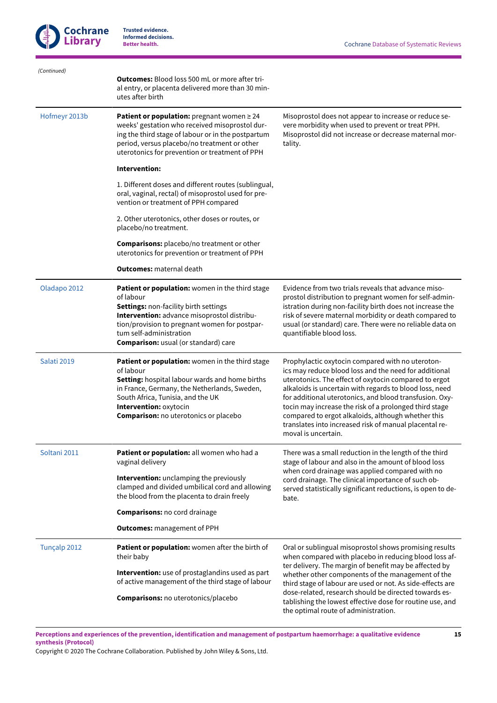

| (Continued)   | <b>Outcomes:</b> Blood loss 500 mL or more after tri-                                                                                                                                                                                                                           |                                                                                                                                                                                                                                                                                                                                                                                                                                                                                           |
|---------------|---------------------------------------------------------------------------------------------------------------------------------------------------------------------------------------------------------------------------------------------------------------------------------|-------------------------------------------------------------------------------------------------------------------------------------------------------------------------------------------------------------------------------------------------------------------------------------------------------------------------------------------------------------------------------------------------------------------------------------------------------------------------------------------|
|               | al entry, or placenta delivered more than 30 min-<br>utes after birth                                                                                                                                                                                                           |                                                                                                                                                                                                                                                                                                                                                                                                                                                                                           |
| Hofmeyr 2013b | <b>Patient or population:</b> pregnant women $\geq 24$<br>weeks' gestation who received misoprostol dur-<br>ing the third stage of labour or in the postpartum<br>period, versus placebo/no treatment or other<br>uterotonics for prevention or treatment of PPH                | Misoprostol does not appear to increase or reduce se-<br>vere morbidity when used to prevent or treat PPH.<br>Misoprostol did not increase or decrease maternal mor-<br>tality.                                                                                                                                                                                                                                                                                                           |
|               | Intervention:                                                                                                                                                                                                                                                                   |                                                                                                                                                                                                                                                                                                                                                                                                                                                                                           |
|               | 1. Different doses and different routes (sublingual,<br>oral, vaginal, rectal) of misoprostol used for pre-<br>vention or treatment of PPH compared                                                                                                                             |                                                                                                                                                                                                                                                                                                                                                                                                                                                                                           |
|               | 2. Other uterotonics, other doses or routes, or<br>placebo/no treatment.                                                                                                                                                                                                        |                                                                                                                                                                                                                                                                                                                                                                                                                                                                                           |
|               | <b>Comparisons:</b> placebo/no treatment or other<br>uterotonics for prevention or treatment of PPH                                                                                                                                                                             |                                                                                                                                                                                                                                                                                                                                                                                                                                                                                           |
|               | <b>Outcomes:</b> maternal death                                                                                                                                                                                                                                                 |                                                                                                                                                                                                                                                                                                                                                                                                                                                                                           |
| Oladapo 2012  | Patient or population: women in the third stage<br>of labour<br>Settings: non-facility birth settings<br>Intervention: advance misoprostol distribu-<br>tion/provision to pregnant women for postpar-<br>tum self-administration<br><b>Comparison:</b> usual (or standard) care | Evidence from two trials reveals that advance miso-<br>prostol distribution to pregnant women for self-admin-<br>istration during non-facility birth does not increase the<br>risk of severe maternal morbidity or death compared to<br>usual (or standard) care. There were no reliable data on<br>quantifiable blood loss.                                                                                                                                                              |
| Salati 2019   | Patient or population: women in the third stage<br>of labour<br>Setting: hospital labour wards and home births<br>in France, Germany, the Netherlands, Sweden,<br>South Africa, Tunisia, and the UK<br>Intervention: oxytocin<br>Comparison: no uterotonics or placebo          | Prophylactic oxytocin compared with no uteroton-<br>ics may reduce blood loss and the need for additional<br>uterotonics. The effect of oxytocin compared to ergot<br>alkaloids is uncertain with regards to blood loss, need<br>for additional uterotonics, and blood transfusion. Oxy-<br>tocin may increase the risk of a prolonged third stage<br>compared to ergot alkaloids, although whether this<br>translates into increased risk of manual placental re-<br>moval is uncertain. |
| Soltani 2011  | Patient or population: all women who had a<br>vaginal delivery                                                                                                                                                                                                                  | There was a small reduction in the length of the third<br>stage of labour and also in the amount of blood loss<br>when cord drainage was applied compared with no                                                                                                                                                                                                                                                                                                                         |
|               | Intervention: unclamping the previously<br>clamped and divided umbilical cord and allowing<br>the blood from the placenta to drain freely                                                                                                                                       | cord drainage. The clinical importance of such ob-<br>served statistically significant reductions, is open to de-<br>bate.                                                                                                                                                                                                                                                                                                                                                                |
|               | <b>Comparisons: no cord drainage</b>                                                                                                                                                                                                                                            |                                                                                                                                                                                                                                                                                                                                                                                                                                                                                           |
|               | <b>Outcomes:</b> management of PPH                                                                                                                                                                                                                                              |                                                                                                                                                                                                                                                                                                                                                                                                                                                                                           |
| Tunçalp 2012  | Patient or population: women after the birth of<br>their baby                                                                                                                                                                                                                   | Oral or sublingual misoprostol shows promising results<br>when compared with placebo in reducing blood loss af-                                                                                                                                                                                                                                                                                                                                                                           |
|               | Intervention: use of prostaglandins used as part<br>of active management of the third stage of labour                                                                                                                                                                           | ter delivery. The margin of benefit may be affected by<br>whether other components of the management of the<br>third stage of labour are used or not. As side-effects are<br>dose-related, research should be directed towards es-                                                                                                                                                                                                                                                        |
|               | <b>Comparisons: no uterotonics/placebo</b>                                                                                                                                                                                                                                      | tablishing the lowest effective dose for routine use, and<br>the optimal route of administration.                                                                                                                                                                                                                                                                                                                                                                                         |

Perceptions and experiences of the prevention, identification and management of postpartum haemorrhage: a qualitative evidence **synthesis (Protocol)**